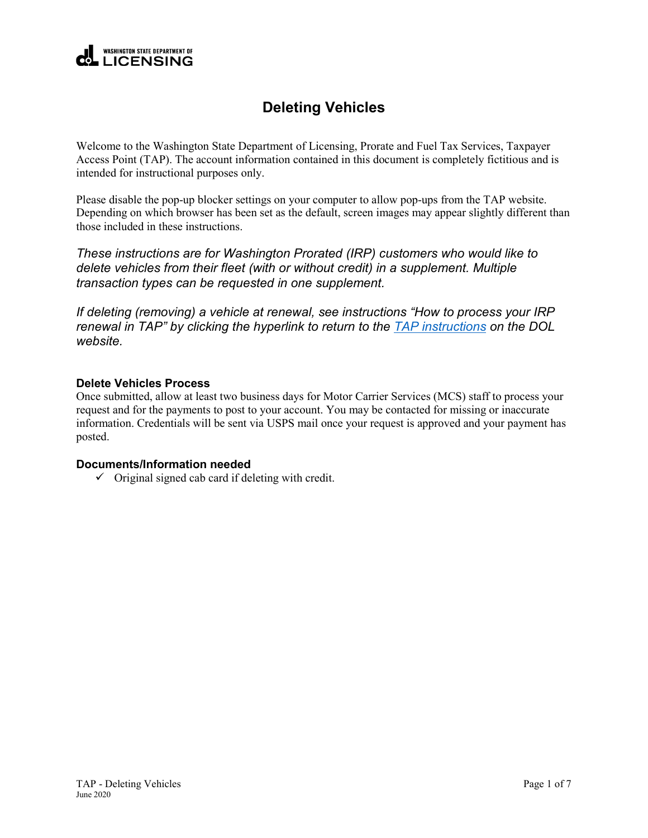

## **Deleting Vehicles**

Welcome to the Washington State Department of Licensing, Prorate and Fuel Tax Services, Taxpayer Access Point (TAP). The account information contained in this document is completely fictitious and is intended for instructional purposes only.

Please disable the pop-up blocker settings on your computer to allow pop-ups from the TAP website. Depending on which browser has been set as the default, screen images may appear slightly different than those included in these instructions.

*These instructions are for Washington Prorated (IRP) customers who would like to delete vehicles from their fleet (with or without credit) in a supplement. Multiple transaction types can be requested in one supplement.*

*If deleting (removing) a vehicle at renewal, see instructions "How to process your IRP renewal in TAP" by clicking the hyperlink to return to the [TAP instructions](https://www.dol.wa.gov/vehicleregistration/tap.html) on the DOL website.*

## **Delete Vehicles Process**

Once submitted, allow at least two business days for Motor Carrier Services (MCS) staff to process your request and for the payments to post to your account. You may be contacted for missing or inaccurate information. Credentials will be sent via USPS mail once your request is approved and your payment has posted.

## **Documents/Information needed**

 $\checkmark$  Original signed cab card if deleting with credit.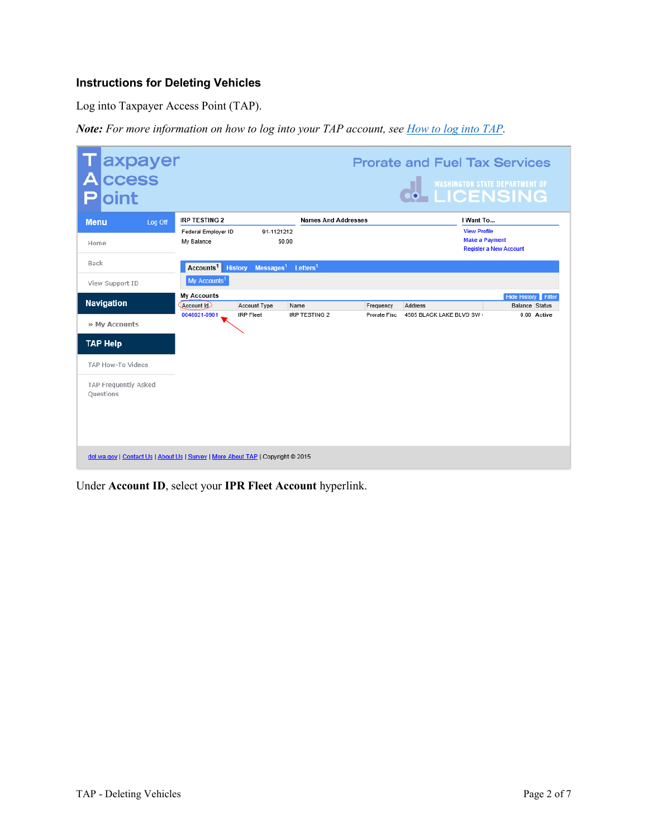## **Instructions for Deleting Vehicles**

Log into Taxpayer Access Point (TAP).

*Note: For more information on how to log into your TAP account, see [How to log into TAP.](http://www.dol.wa.gov/vehicleregistration/docs/TAP-how-to-log-into-tap.pdf)*

| Taxpayer<br>Access<br>oint<br>E                                                 |                          |                                         |                            |              | <b>Prorate and Fuel Tax Services</b><br><b>O</b> WASHINGTON STATE DEPARTMENT OF |                               |
|---------------------------------------------------------------------------------|--------------------------|-----------------------------------------|----------------------------|--------------|---------------------------------------------------------------------------------|-------------------------------|
| <b>Menu</b><br>Log Off                                                          | <b>IRP TESTING 2</b>     |                                         | <b>Names And Addresses</b> |              | I Want To                                                                       |                               |
|                                                                                 | Federal Employer ID      | 91-1121212                              |                            |              | <b>View Profile</b>                                                             |                               |
| Home                                                                            | My Balance               |                                         | \$0.00                     |              | <b>Make a Payment</b>                                                           |                               |
|                                                                                 |                          |                                         |                            |              |                                                                                 | <b>Register a New Account</b> |
| Back                                                                            | Accounts <sup>1</sup>    | Messages <sup>1</sup><br><b>History</b> | Letters <sup>1</sup>       |              |                                                                                 |                               |
|                                                                                 |                          |                                         |                            |              |                                                                                 |                               |
| View Support ID                                                                 | My Accounts <sup>1</sup> |                                         |                            |              |                                                                                 |                               |
|                                                                                 | <b>My Accounts</b>       |                                         |                            |              |                                                                                 | <b>Hide History</b> Filter    |
| <b>Navigation</b>                                                               | Account Id               | Account Type                            | Name                       | Frequency    | Address                                                                         | <b>Balance Status</b>         |
| » My Accounts                                                                   | 0046021-0901             | <b>IRP Fleet</b>                        | IRP TESTING 2              | Prorate Fisc | 4505 BLACK LAKE BLVD SW                                                         | 0.00 Active                   |
| <b>TAP Help</b>                                                                 |                          |                                         |                            |              |                                                                                 |                               |
| TAP How-To Videos                                                               |                          |                                         |                            |              |                                                                                 |                               |
| TAP Frequently Asked                                                            |                          |                                         |                            |              |                                                                                 |                               |
| Questions                                                                       |                          |                                         |                            |              |                                                                                 |                               |
|                                                                                 |                          |                                         |                            |              |                                                                                 |                               |
|                                                                                 |                          |                                         |                            |              |                                                                                 |                               |
|                                                                                 |                          |                                         |                            |              |                                                                                 |                               |
|                                                                                 |                          |                                         |                            |              |                                                                                 |                               |
|                                                                                 |                          |                                         |                            |              |                                                                                 |                               |
| dol.wa.gov   Contact Us   About Us   Survey   More About TAP   Copyright @ 2015 |                          |                                         |                            |              |                                                                                 |                               |

Under **Account ID**, select your **IPR Fleet Account** hyperlink.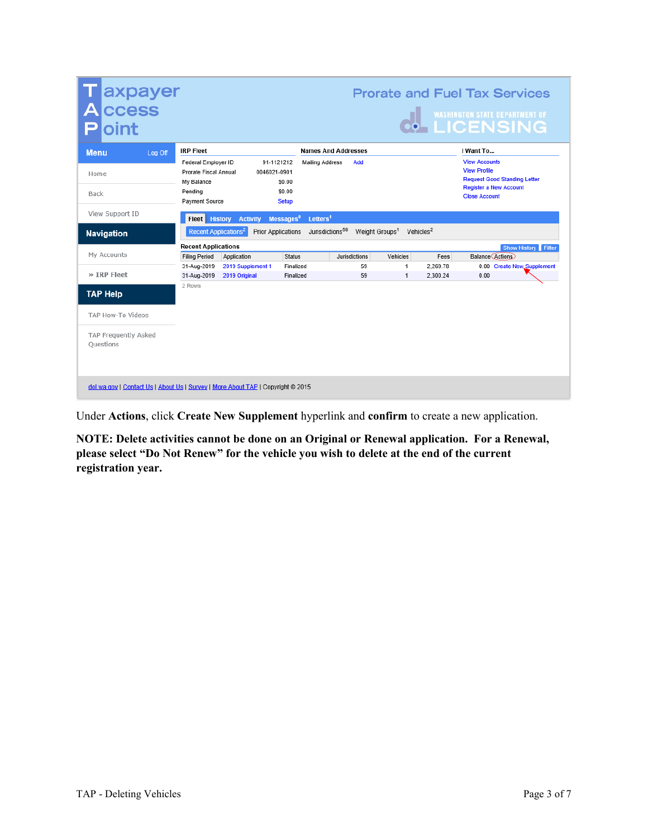| axpayer<br>ccess<br>oint                                                        |                                                                                         |                               |                                                                          |                             |                                                  |          | <b>Prorate and Fuel Tax Services</b><br>O WASHINGTON STATE DEPARTMENT OF                                                                    |                            |
|---------------------------------------------------------------------------------|-----------------------------------------------------------------------------------------|-------------------------------|--------------------------------------------------------------------------|-----------------------------|--------------------------------------------------|----------|---------------------------------------------------------------------------------------------------------------------------------------------|----------------------------|
| <b>Menu</b><br>Log Off                                                          | <b>IRP Fleet</b>                                                                        |                               |                                                                          | <b>Names And Addresses</b>  |                                                  |          | I Want To                                                                                                                                   |                            |
| Home<br>Back                                                                    | Federal Employer ID<br>Prorate Fiscal Annual<br>My Balance<br>Pending<br>Payment Source | 0046021-0901                  | 91-1121212<br><b>Mailing Address</b><br>\$0.00<br>\$0.00<br><b>Setup</b> | Add                         |                                                  |          | <b>View Accounts</b><br><b>View Profile</b><br><b>Request Good Standing Letter</b><br><b>Register a New Account</b><br><b>Close Account</b> |                            |
| View Support ID                                                                 |                                                                                         | <b>Fleet History Activity</b> | Messages <sup>0</sup><br>Letters <sup>1</sup>                            |                             |                                                  |          |                                                                                                                                             |                            |
| <b>Navigation</b>                                                               | Recent Applications <sup>2</sup>                                                        | <b>Prior Applications</b>     |                                                                          | Jurisdictions <sup>59</sup> | Weight Groups <sup>1</sup> Vehicles <sup>2</sup> |          |                                                                                                                                             |                            |
|                                                                                 | <b>Recent Applications</b>                                                              |                               |                                                                          |                             |                                                  |          |                                                                                                                                             | Show History Filter        |
| My Accounts                                                                     | <b>Filing Period</b>                                                                    | Application                   | <b>Status</b>                                                            | Jurisdictions               | Vehicles                                         | Fees     | <b>Balance Actions</b>                                                                                                                      |                            |
| » IRP Fleet                                                                     | 31-Aug-2019                                                                             | 2019 Supplement 1             | Finalized                                                                | 59                          | 1                                                | 2,269.78 | 0.00                                                                                                                                        | 0.00 Create New Supplement |
| <b>TAP Help</b><br>TAP How-To Videos                                            | 31-Aug-2019<br>2 Rows                                                                   | 2019 Original                 | Finalized                                                                | 59                          | $\mathbf{1}$                                     | 2.300.24 |                                                                                                                                             |                            |
| TAP Frequently Asked<br>Ouestions                                               |                                                                                         |                               |                                                                          |                             |                                                  |          |                                                                                                                                             |                            |
| dol.wa.gov   Contact Us   About Us   Survey   More About TAP   Copyright @ 2015 |                                                                                         |                               |                                                                          |                             |                                                  |          |                                                                                                                                             |                            |

Under **Actions**, click **Create New Supplement** hyperlink and **confirm** to create a new application.

**NOTE: Delete activities cannot be done on an Original or Renewal application. For a Renewal, please select "Do Not Renew" for the vehicle you wish to delete at the end of the current registration year.**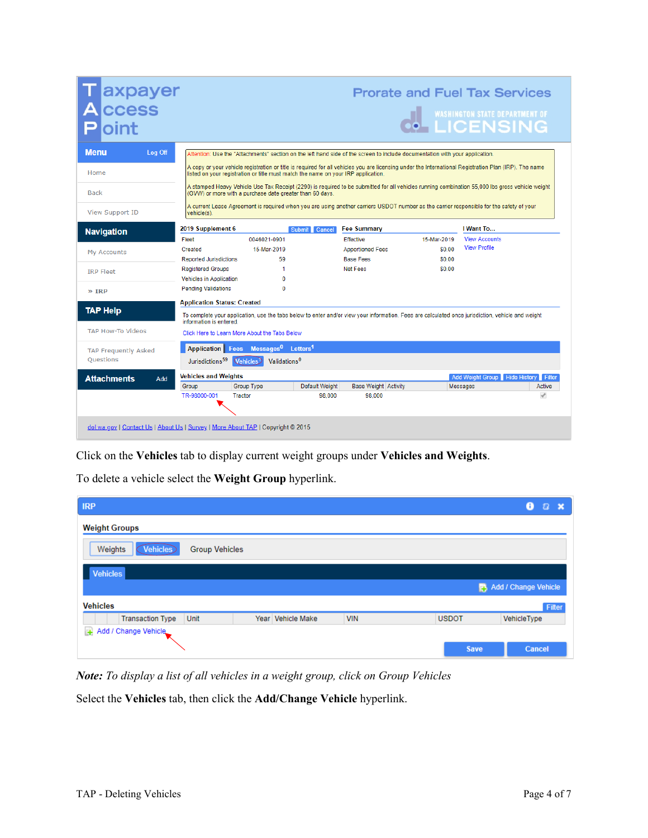| axpayer<br><b>CCESS</b>     |                                               |                                                                                   |                |                                                                                                                                                       |             | <b>Prorate and Fuel Tax Services</b><br>WASHINGTON STATE DEPARTMENT OF |               |
|-----------------------------|-----------------------------------------------|-----------------------------------------------------------------------------------|----------------|-------------------------------------------------------------------------------------------------------------------------------------------------------|-------------|------------------------------------------------------------------------|---------------|
| Menu<br>Log Off             |                                               |                                                                                   |                | Attention: Use the "Attachments" section on the left hand side of the screen to include documentation with your application.                          |             |                                                                        |               |
| Home                        |                                               | listed on your registration or title must match the name on your IRP application. |                | A copy or your vehicle registration or title is required for all vehicles you are licensing under the International Registration Plan (IRP). The name |             |                                                                        |               |
| <b>Back</b>                 |                                               | (GVW) or more with a purchase date greater than 60 days.                          |                | A stamped Heavy Vehicle Use Tax Receipt (2290) is required to be submitted for all vehicles running combination 55,000 lbs gross vehicle weight       |             |                                                                        |               |
| View Support ID             | vehicle(s).                                   |                                                                                   |                | A current Lease Agreement is required when you are using another carriers USDOT number as the carrier responsible for the safety of your              |             |                                                                        |               |
| <b>Navigation</b>           | 2019 Supplement 6                             |                                                                                   | Submit Cancel  | <b>Fee Summary</b>                                                                                                                                    |             | I Want To                                                              |               |
|                             | Fleet                                         | 0046021-0901                                                                      |                | <b>Effective</b>                                                                                                                                      | 15-Mar-2019 | <b>View Accounts</b>                                                   |               |
| <b>My Accounts</b>          | Created                                       | 15-Mar-2019                                                                       |                | <b>Apportioned Fees</b>                                                                                                                               | \$0.00      | <b>View Profile</b>                                                    |               |
|                             | <b>Reported Jurisdictions</b>                 | 59                                                                                |                | <b>Base Fees</b>                                                                                                                                      | \$0.00      |                                                                        |               |
| <b>IRP Fleet</b>            | <b>Registered Groups</b>                      | 1                                                                                 |                | Net Fees                                                                                                                                              | \$0.00      |                                                                        |               |
|                             | <b>Vehicles in Application</b>                | $\Omega$                                                                          |                |                                                                                                                                                       |             |                                                                        |               |
| $\gg$ IRP                   | <b>Pending Validations</b>                    | $\Omega$                                                                          |                |                                                                                                                                                       |             |                                                                        |               |
|                             | <b>Application Status: Created</b>            |                                                                                   |                |                                                                                                                                                       |             |                                                                        |               |
| <b>TAP Help</b>             | information is entered.                       |                                                                                   |                | To complete your application, use the tabs below to enter and/or view your information. Fees are calculated once jurisdiction, vehicle and weight     |             |                                                                        |               |
| <b>TAP How-To Videos</b>    | Click Here to Learn More About the Tabs Below |                                                                                   |                |                                                                                                                                                       |             |                                                                        |               |
| <b>TAP Frequently Asked</b> |                                               | Application Fees Messages <sup>0</sup> Letters <sup>1</sup>                       |                |                                                                                                                                                       |             |                                                                        |               |
| <b>Ouestions</b>            | Jurisdictions <sup>59</sup> Vehicles          | Validations <sup>0</sup>                                                          |                |                                                                                                                                                       |             |                                                                        |               |
| <b>Attachments</b><br>Add   | <b>Vehicles and Weights</b>                   |                                                                                   |                |                                                                                                                                                       |             | Add Weight Group Hide History Filter                                   |               |
|                             | Group                                         | Group Type                                                                        | Default Weight | <b>Base Weight Activity</b>                                                                                                                           |             | Messages                                                               | Active        |
|                             | TR-98000-001                                  | <b>Tractor</b>                                                                    | 98,000         | 98.000                                                                                                                                                |             |                                                                        | $\mathscr{A}$ |
|                             |                                               |                                                                                   |                |                                                                                                                                                       |             |                                                                        |               |

Click on the **Vehicles** tab to display current weight groups under **Vehicles and Weights**.

To delete a vehicle select the **Weight Group** hyperlink.

| <b>IRP</b>                 |                       |                   |            |              | 8<br>$\boldsymbol{z}$<br>$\boldsymbol{\mathsf{x}}$ |
|----------------------------|-----------------------|-------------------|------------|--------------|----------------------------------------------------|
| <b>Weight Groups</b>       |                       |                   |            |              |                                                    |
| <b>Vehicles</b><br>Weights | <b>Group Vehicles</b> |                   |            |              |                                                    |
| <b>Vehicles</b>            |                       |                   |            |              |                                                    |
|                            |                       |                   |            |              | Add / Change Vehicle                               |
| <b>Vehicles</b>            |                       |                   |            |              | Filter                                             |
| <b>Transaction Type</b>    | Unit                  | Year Vehicle Make | <b>VIN</b> | <b>USDOT</b> | VehicleType                                        |
| + Add / Change Vehicle     |                       |                   |            |              |                                                    |
|                            |                       |                   |            | <b>Save</b>  | <b>Cancel</b>                                      |

*Note: To display a list of all vehicles in a weight group, click on Group Vehicles*

Select the **Vehicles** tab, then click the **Add/Change Vehicle** hyperlink.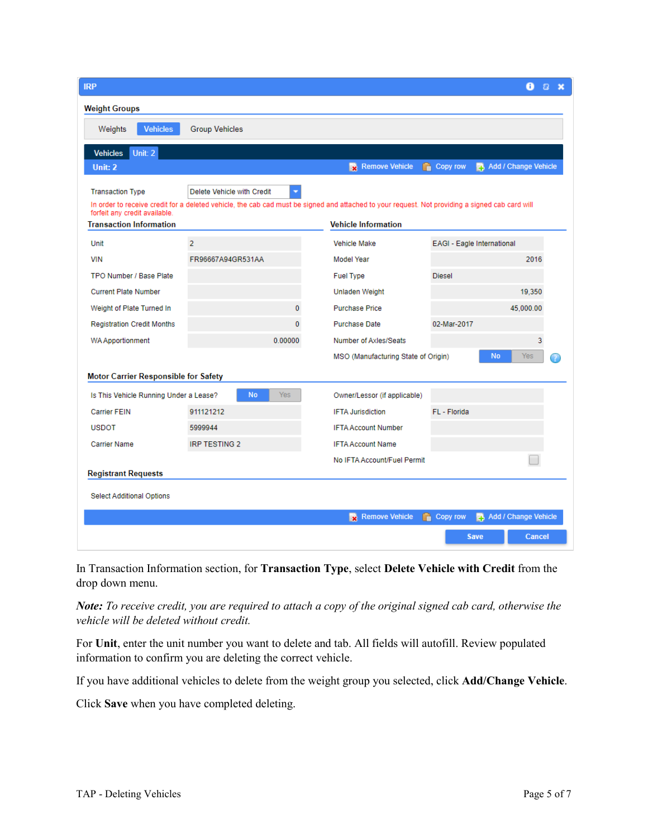| <b>IRP</b>                                                      |                                                                                                                                                 |                                     | 8<br>Ð                                  |
|-----------------------------------------------------------------|-------------------------------------------------------------------------------------------------------------------------------------------------|-------------------------------------|-----------------------------------------|
| <b>Weight Groups</b>                                            |                                                                                                                                                 |                                     |                                         |
| <b>Vehicles</b><br>Weights                                      | <b>Group Vehicles</b>                                                                                                                           |                                     |                                         |
| <b>Vehicles</b><br>Unit: 2                                      |                                                                                                                                                 |                                     |                                         |
| Unit: 2                                                         |                                                                                                                                                 | Remove Vehicle<br>r.                | Add / Change Vehicle<br>Copy row        |
| <b>Transaction Type</b>                                         | Delete Vehicle with Credit                                                                                                                      |                                     |                                         |
|                                                                 | In order to receive credit for a deleted vehicle, the cab cad must be signed and attached to your request. Not providing a signed cab card will |                                     |                                         |
| forfeit any credit available.<br><b>Transaction Information</b> |                                                                                                                                                 | <b>Vehicle Information</b>          |                                         |
| Unit                                                            | $\overline{2}$                                                                                                                                  | <b>Vehicle Make</b>                 | EAGI - Eagle International              |
| <b>VIN</b>                                                      | FR96667A94GR531AA                                                                                                                               | <b>Model Year</b>                   | 2016                                    |
| TPO Number / Base Plate                                         |                                                                                                                                                 | <b>Fuel Type</b>                    | <b>Diesel</b>                           |
| <b>Current Plate Number</b>                                     |                                                                                                                                                 | <b>Unladen Weight</b>               | 19,350                                  |
| Weight of Plate Turned In                                       | $\overline{0}$                                                                                                                                  | <b>Purchase Price</b>               | 45,000.00                               |
| <b>Registration Credit Months</b>                               | $\bf{0}$                                                                                                                                        | <b>Purchase Date</b>                | 02-Mar-2017                             |
| <b>WA Apportionment</b>                                         | 0.00000                                                                                                                                         | Number of Axles/Seats               | 3                                       |
|                                                                 |                                                                                                                                                 | MSO (Manufacturing State of Origin) | <b>No</b><br>Yes                        |
| Motor Carrier Responsible for Safety                            |                                                                                                                                                 |                                     |                                         |
| Is This Vehicle Running Under a Lease?                          | <b>No</b><br>Yes                                                                                                                                | Owner/Lessor (if applicable)        |                                         |
| <b>Carrier FEIN</b>                                             | 911121212                                                                                                                                       | <b>IFTA Jurisdiction</b>            | FL - Florida                            |
| <b>USDOT</b>                                                    | 5999944                                                                                                                                         | <b>IFTA Account Number</b>          |                                         |
| <b>Carrier Name</b>                                             | <b>IRP TESTING 2</b>                                                                                                                            | <b>IFTA Account Name</b>            |                                         |
|                                                                 |                                                                                                                                                 | No IFTA Account/Fuel Permit         |                                         |
| <b>Registrant Requests</b>                                      |                                                                                                                                                 |                                     |                                         |
| <b>Select Additional Options</b>                                |                                                                                                                                                 |                                     |                                         |
|                                                                 |                                                                                                                                                 | Remove Vehicle                      | Add / Change Vehicle<br><b>Copy row</b> |
|                                                                 |                                                                                                                                                 |                                     | <b>Cancel</b><br><b>Save</b>            |

In Transaction Information section, for **Transaction Type**, select **Delete Vehicle with Credit** from the drop down menu.

*Note: To receive credit, you are required to attach a copy of the original signed cab card, otherwise the vehicle will be deleted without credit.* 

For **Unit**, enter the unit number you want to delete and tab. All fields will autofill. Review populated information to confirm you are deleting the correct vehicle.

If you have additional vehicles to delete from the weight group you selected, click **Add/Change Vehicle**.

Click **Save** when you have completed deleting.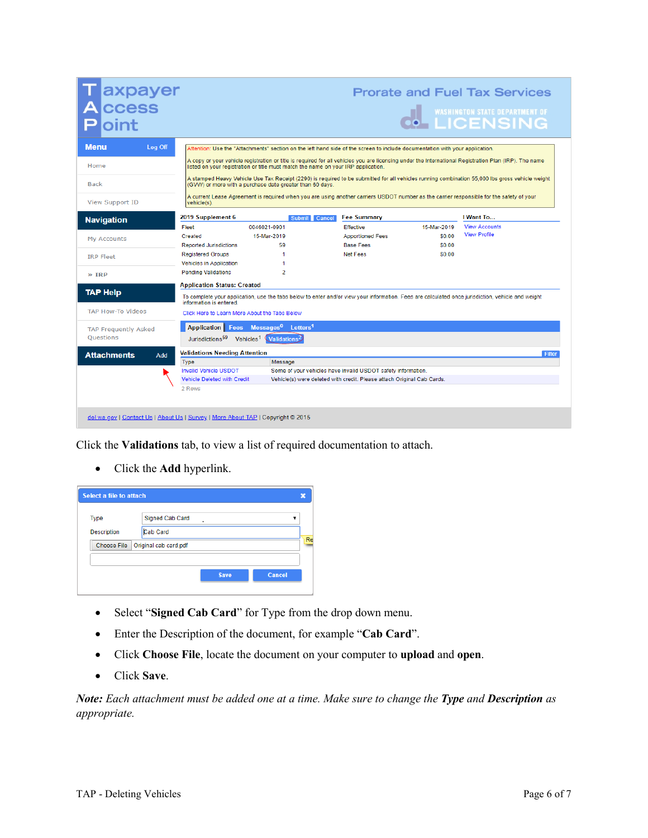| <b>Menu</b><br>Log Off<br>Attention: Use the "Attachments" section on the left hand side of the screen to include documentation with your application.<br>A copy or your vehicle registration or title is required for all vehicles you are licensing under the International Registration Plan (IRP). The name<br>Home<br>listed on your registration or title must match the name on your IRP application.<br>A stamped Heavy Vehicle Use Tax Receipt (2290) is required to be submitted for all vehicles running combination 55,000 lbs gross vehicle weight<br><b>Back</b><br>(GVW) or more with a purchase date greater than 60 days.<br>A current Lease Agreement is required when you are using another carriers USDOT number as the carrier responsible for the safety of your<br>View Support ID<br>vehicle(s).<br>2019 Supplement 6<br><b>Fee Summary</b><br>I Want To<br><b>Submit</b><br>Cancel<br><b>Navigation</b><br><b>View Accounts</b><br>0046021-0901<br>15-Mar-2019<br>Fleet<br><b>Effective</b><br><b>View Profile</b><br>\$0.00<br>15-Mar-2019<br><b>Apportioned Fees</b><br>Created<br>My Accounts<br><b>Base Fees</b><br>\$0.00<br><b>Reported Jurisdictions</b><br>59<br>Net Fees<br>\$0.00<br>1<br><b>Registered Groups</b><br><b>IRP Fleet</b><br><b>Vehicles in Application</b><br>1<br>$\overline{2}$<br><b>Pending Validations</b><br>$\gg$ TRP<br><b>Application Status: Created</b><br><b>TAP Help</b><br>To complete your application, use the tabs below to enter and/or view your information. Fees are calculated once jurisdiction, vehicle and weight<br>information is entered.<br><b>TAP How-To Videos</b><br>Click Here to Learn More About the Tabs Below<br>Application Fees Messages <sup>0</sup> Letters <sup>1</sup><br><b>TAP Frequently Asked</b><br>Questions<br>Jurisdictions <sup>59</sup> Vehicles <sup>1</sup><br>Validations <sup>2</sup> | <b>CCESS</b> | axpayer |  | IN WASHINGTON STATE DEPARTMENT OF |
|-------------------------------------------------------------------------------------------------------------------------------------------------------------------------------------------------------------------------------------------------------------------------------------------------------------------------------------------------------------------------------------------------------------------------------------------------------------------------------------------------------------------------------------------------------------------------------------------------------------------------------------------------------------------------------------------------------------------------------------------------------------------------------------------------------------------------------------------------------------------------------------------------------------------------------------------------------------------------------------------------------------------------------------------------------------------------------------------------------------------------------------------------------------------------------------------------------------------------------------------------------------------------------------------------------------------------------------------------------------------------------------------------------------------------------------------------------------------------------------------------------------------------------------------------------------------------------------------------------------------------------------------------------------------------------------------------------------------------------------------------------------------------------------------------------------------------------------------------------------------------------------------------|--------------|---------|--|-----------------------------------|
|                                                                                                                                                                                                                                                                                                                                                                                                                                                                                                                                                                                                                                                                                                                                                                                                                                                                                                                                                                                                                                                                                                                                                                                                                                                                                                                                                                                                                                                                                                                                                                                                                                                                                                                                                                                                                                                                                                 |              |         |  |                                   |
|                                                                                                                                                                                                                                                                                                                                                                                                                                                                                                                                                                                                                                                                                                                                                                                                                                                                                                                                                                                                                                                                                                                                                                                                                                                                                                                                                                                                                                                                                                                                                                                                                                                                                                                                                                                                                                                                                                 |              |         |  |                                   |
|                                                                                                                                                                                                                                                                                                                                                                                                                                                                                                                                                                                                                                                                                                                                                                                                                                                                                                                                                                                                                                                                                                                                                                                                                                                                                                                                                                                                                                                                                                                                                                                                                                                                                                                                                                                                                                                                                                 |              |         |  |                                   |
|                                                                                                                                                                                                                                                                                                                                                                                                                                                                                                                                                                                                                                                                                                                                                                                                                                                                                                                                                                                                                                                                                                                                                                                                                                                                                                                                                                                                                                                                                                                                                                                                                                                                                                                                                                                                                                                                                                 |              |         |  |                                   |
|                                                                                                                                                                                                                                                                                                                                                                                                                                                                                                                                                                                                                                                                                                                                                                                                                                                                                                                                                                                                                                                                                                                                                                                                                                                                                                                                                                                                                                                                                                                                                                                                                                                                                                                                                                                                                                                                                                 |              |         |  |                                   |
|                                                                                                                                                                                                                                                                                                                                                                                                                                                                                                                                                                                                                                                                                                                                                                                                                                                                                                                                                                                                                                                                                                                                                                                                                                                                                                                                                                                                                                                                                                                                                                                                                                                                                                                                                                                                                                                                                                 |              |         |  |                                   |
|                                                                                                                                                                                                                                                                                                                                                                                                                                                                                                                                                                                                                                                                                                                                                                                                                                                                                                                                                                                                                                                                                                                                                                                                                                                                                                                                                                                                                                                                                                                                                                                                                                                                                                                                                                                                                                                                                                 |              |         |  |                                   |
|                                                                                                                                                                                                                                                                                                                                                                                                                                                                                                                                                                                                                                                                                                                                                                                                                                                                                                                                                                                                                                                                                                                                                                                                                                                                                                                                                                                                                                                                                                                                                                                                                                                                                                                                                                                                                                                                                                 |              |         |  |                                   |
|                                                                                                                                                                                                                                                                                                                                                                                                                                                                                                                                                                                                                                                                                                                                                                                                                                                                                                                                                                                                                                                                                                                                                                                                                                                                                                                                                                                                                                                                                                                                                                                                                                                                                                                                                                                                                                                                                                 |              |         |  |                                   |
|                                                                                                                                                                                                                                                                                                                                                                                                                                                                                                                                                                                                                                                                                                                                                                                                                                                                                                                                                                                                                                                                                                                                                                                                                                                                                                                                                                                                                                                                                                                                                                                                                                                                                                                                                                                                                                                                                                 |              |         |  |                                   |
|                                                                                                                                                                                                                                                                                                                                                                                                                                                                                                                                                                                                                                                                                                                                                                                                                                                                                                                                                                                                                                                                                                                                                                                                                                                                                                                                                                                                                                                                                                                                                                                                                                                                                                                                                                                                                                                                                                 |              |         |  |                                   |
|                                                                                                                                                                                                                                                                                                                                                                                                                                                                                                                                                                                                                                                                                                                                                                                                                                                                                                                                                                                                                                                                                                                                                                                                                                                                                                                                                                                                                                                                                                                                                                                                                                                                                                                                                                                                                                                                                                 |              |         |  |                                   |
|                                                                                                                                                                                                                                                                                                                                                                                                                                                                                                                                                                                                                                                                                                                                                                                                                                                                                                                                                                                                                                                                                                                                                                                                                                                                                                                                                                                                                                                                                                                                                                                                                                                                                                                                                                                                                                                                                                 |              |         |  |                                   |
|                                                                                                                                                                                                                                                                                                                                                                                                                                                                                                                                                                                                                                                                                                                                                                                                                                                                                                                                                                                                                                                                                                                                                                                                                                                                                                                                                                                                                                                                                                                                                                                                                                                                                                                                                                                                                                                                                                 |              |         |  |                                   |
|                                                                                                                                                                                                                                                                                                                                                                                                                                                                                                                                                                                                                                                                                                                                                                                                                                                                                                                                                                                                                                                                                                                                                                                                                                                                                                                                                                                                                                                                                                                                                                                                                                                                                                                                                                                                                                                                                                 |              |         |  |                                   |
|                                                                                                                                                                                                                                                                                                                                                                                                                                                                                                                                                                                                                                                                                                                                                                                                                                                                                                                                                                                                                                                                                                                                                                                                                                                                                                                                                                                                                                                                                                                                                                                                                                                                                                                                                                                                                                                                                                 |              |         |  |                                   |
|                                                                                                                                                                                                                                                                                                                                                                                                                                                                                                                                                                                                                                                                                                                                                                                                                                                                                                                                                                                                                                                                                                                                                                                                                                                                                                                                                                                                                                                                                                                                                                                                                                                                                                                                                                                                                                                                                                 |              |         |  |                                   |
| <b>Validations Needing Attention</b><br><b>Attachments</b><br><b>Add</b>                                                                                                                                                                                                                                                                                                                                                                                                                                                                                                                                                                                                                                                                                                                                                                                                                                                                                                                                                                                                                                                                                                                                                                                                                                                                                                                                                                                                                                                                                                                                                                                                                                                                                                                                                                                                                        |              |         |  | Filter                            |
| <b>Type</b><br>Message                                                                                                                                                                                                                                                                                                                                                                                                                                                                                                                                                                                                                                                                                                                                                                                                                                                                                                                                                                                                                                                                                                                                                                                                                                                                                                                                                                                                                                                                                                                                                                                                                                                                                                                                                                                                                                                                          |              |         |  |                                   |
| <b>Invalid Vehicle USDOT</b><br>Some of your vehicles have invalid USDOT safety information.                                                                                                                                                                                                                                                                                                                                                                                                                                                                                                                                                                                                                                                                                                                                                                                                                                                                                                                                                                                                                                                                                                                                                                                                                                                                                                                                                                                                                                                                                                                                                                                                                                                                                                                                                                                                    |              |         |  |                                   |
| Vehicle Deleted with Credit<br>Vehicle(s) were deleted with credit. Please attach Original Cab Cards.                                                                                                                                                                                                                                                                                                                                                                                                                                                                                                                                                                                                                                                                                                                                                                                                                                                                                                                                                                                                                                                                                                                                                                                                                                                                                                                                                                                                                                                                                                                                                                                                                                                                                                                                                                                           |              |         |  |                                   |
| 2 Rows                                                                                                                                                                                                                                                                                                                                                                                                                                                                                                                                                                                                                                                                                                                                                                                                                                                                                                                                                                                                                                                                                                                                                                                                                                                                                                                                                                                                                                                                                                                                                                                                                                                                                                                                                                                                                                                                                          |              |         |  |                                   |

Click the **Validations** tab, to view a list of required documentation to attach.

• Click the **Add** hyperlink.

| Select a file to attach |                       |             |               |    |
|-------------------------|-----------------------|-------------|---------------|----|
| <b>Type</b>             | Signed Cab Card       |             | ▼             |    |
| <b>Description</b>      | Cab Card              |             |               |    |
| Choose File             | Original cab card.pdf |             |               | Re |
|                         |                       |             |               |    |
|                         |                       | <b>Save</b> | <b>Cancel</b> |    |
|                         |                       |             |               |    |

- Select "**Signed Cab Card**" for Type from the drop down menu.
- Enter the Description of the document, for example "**Cab Card**".
- Click **Choose File**, locate the document on your computer to **upload** and **open**.
- Click **Save**.

*Note: Each attachment must be added one at a time. Make sure to change the Type and Description as appropriate.*